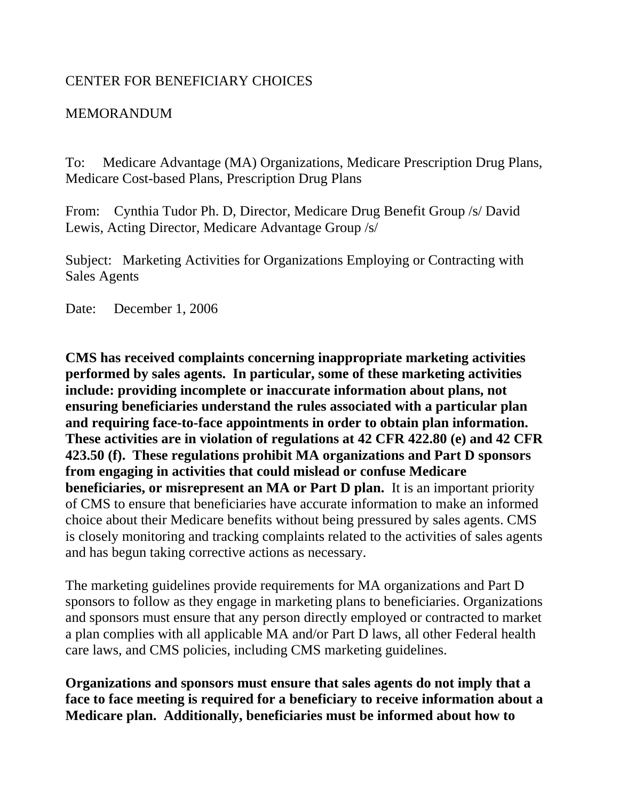## CENTER FOR BENEFICIARY CHOICES

## MEMORANDUM

To: Medicare Advantage (MA) Organizations, Medicare Prescription Drug Plans, Medicare Cost-based Plans, Prescription Drug Plans

From: Cynthia Tudor Ph. D, Director, Medicare Drug Benefit Group /s/ David Lewis, Acting Director, Medicare Advantage Group /s/

Subject: Marketing Activities for Organizations Employing or Contracting with Sales Agents

Date: December 1, 2006

**CMS has received complaints concerning inappropriate marketing activities performed by sales agents. In particular, some of these marketing activities include: providing incomplete or inaccurate information about plans, not ensuring beneficiaries understand the rules associated with a particular plan and requiring face-to-face appointments in order to obtain plan information. These activities are in violation of regulations at 42 CFR 422.80 (e) and 42 CFR 423.50 (f). These regulations prohibit MA organizations and Part D sponsors from engaging in activities that could mislead or confuse Medicare beneficiaries, or misrepresent an MA or Part D plan.** It is an important priority of CMS to ensure that beneficiaries have accurate information to make an informed choice about their Medicare benefits without being pressured by sales agents. CMS is closely monitoring and tracking complaints related to the activities of sales agents and has begun taking corrective actions as necessary.

The marketing guidelines provide requirements for MA organizations and Part D sponsors to follow as they engage in marketing plans to beneficiaries. Organizations and sponsors must ensure that any person directly employed or contracted to market a plan complies with all applicable MA and/or Part D laws, all other Federal health care laws, and CMS policies, including CMS marketing guidelines.

**Organizations and sponsors must ensure that sales agents do not imply that a face to face meeting is required for a beneficiary to receive information about a Medicare plan. Additionally, beneficiaries must be informed about how to**